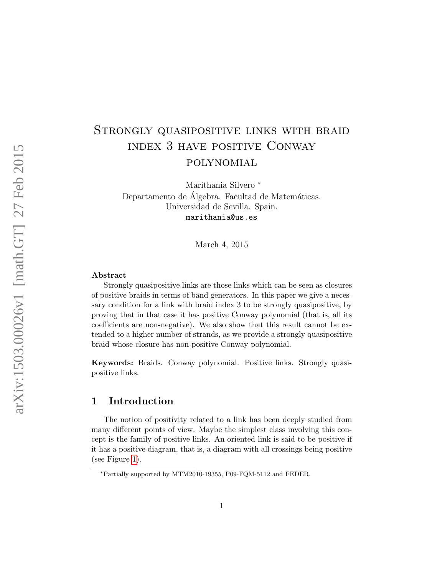# Strongly quasipositive links with braid index 3 have positive Conway polynomial

Marithania Silvero <sup>∗</sup> Departamento de Álgebra. Facultad de Matemáticas. Universidad de Sevilla. Spain. marithania@us.es

March 4, 2015

#### Abstract

Strongly quasipositive links are those links which can be seen as closures of positive braids in terms of band generators. In this paper we give a necessary condition for a link with braid index 3 to be strongly quasipositive, by proving that in that case it has positive Conway polynomial (that is, all its coefficients are non-negative). We also show that this result cannot be extended to a higher number of strands, as we provide a strongly quasipositive braid whose closure has non-positive Conway polynomial.

Keywords: Braids. Conway polynomial. Positive links. Strongly quasipositive links.

### 1 Introduction

The notion of positivity related to a link has been deeply studied from many different points of view. Maybe the simplest class involving this concept is the family of positive links. An oriented link is said to be positive if it has a positive diagram, that is, a diagram with all crossings being positive (see Figure [1\)](#page-1-0).

<sup>∗</sup>Partially supported by MTM2010-19355, P09-FQM-5112 and FEDER.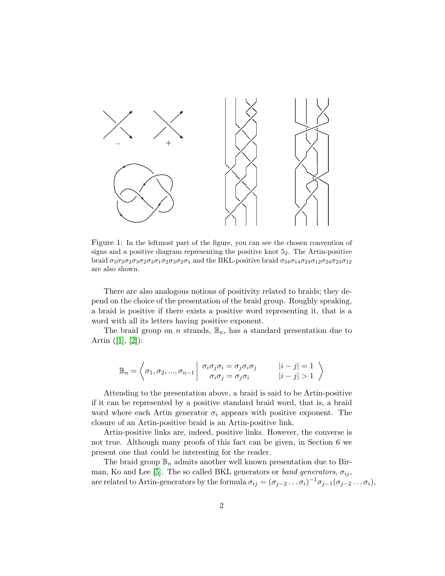

<span id="page-1-0"></span>Figure 1: In the leftmost part of the figure, you can see the chosen convention of signs and a positive diagram representing the positive knot  $5<sub>2</sub>$ . The Artin-positive braid  $\sigma_3\sigma_3\sigma_2\sigma_3\sigma_2\sigma_3\sigma_1\sigma_2\sigma_3\sigma_2\sigma_1$  and the BKL-positive braid  $\sigma_3\sigma_1\sigma_2\sigma_3\sigma_1\sigma_2\sigma_3\sigma_1$ are also shown.

There are also analogous notions of positivity related to braids; they depend on the choice of the presentation of the braid group. Roughly speaking, a braid is positive if there exists a positive word representing it, that is a word with all its letters having positive exponent.

The braid group on *n* strands,  $\mathbb{B}_n$ , has a standard presentation due to Artin  $([1], [2])$  $([1], [2])$  $([1], [2])$  $([1], [2])$  $([1], [2])$ :

$$
\mathbb{B}_n = \left\langle \sigma_1, \sigma_2, ..., \sigma_{n-1} \middle| \begin{array}{c} \sigma_i \sigma_j \sigma_i = \sigma_j \sigma_i \sigma_j \\ \sigma_i \sigma_j = \sigma_j \sigma_i \end{array} \middle| \begin{array}{c} |i - j| = 1 \\ |i - j| > 1 \end{array} \right\rangle
$$

Attending to the presentation above, a braid is said to be Artin-positive if it can be represented by a positive standard braid word, that is, a braid word where each Artin generator  $\sigma_i$  appears with positive exponent. The closure of an Artin-positive braid is an Artin-positive link.

Artin-positive links are, indeed, positive links. However, the converse is not true. Although many proofs of this fact can be given, in Section 6 we present one that could be interesting for the reader.

The braid group  $\mathbb{B}_n$  admits another well known presentation due to Bir-man, Ko and Lee [\[5\]](#page-14-2). The so called BKL generators or band generators,  $\sigma_{ij}$ , are related to Artin-generators by the formula  $\sigma_{ij} = (\sigma_{j-2} \dots \sigma_i)^{-1} \sigma_{j-1} (\sigma_{j-2} \dots \sigma_i),$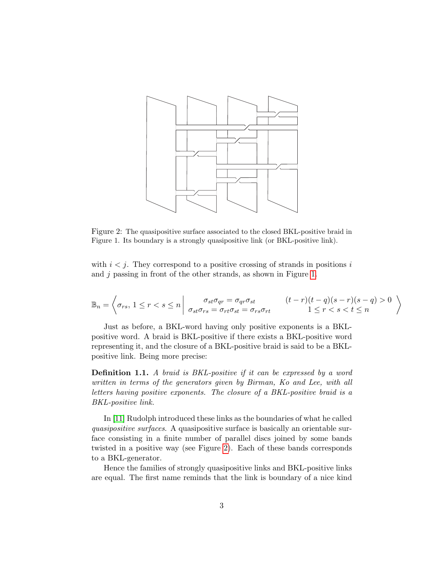

<span id="page-2-0"></span>Figure 2: The quasipositive surface associated to the closed BKL-positive braid in Figure 1. Its boundary is a strongly quasipositive link (or BKL-positive link).

with  $i < j$ . They correspond to a positive crossing of strands in positions i and j passing in front of the other strands, as shown in Figure [1.](#page-1-0)

$$
\mathbb{B}_n = \left\langle \sigma_{rs}, 1 \le r < s \le n \right| \left. \begin{array}{l} \sigma_{st}\sigma_{qr} = \sigma_{qr}\sigma_{st} & (t-r)(t-q)(s-r)(s-q) > 0 \\ \sigma_{st}\sigma_{rs} = \sigma_{rt}\sigma_{st} = \sigma_{rs}\sigma_{rt} & 1 \le r < s < t \le n \end{array} \right\rangle
$$

Just as before, a BKL-word having only positive exponents is a BKLpositive word. A braid is BKL-positive if there exists a BKL-positive word representing it, and the closure of a BKL-positive braid is said to be a BKLpositive link. Being more precise:

Definition 1.1. A braid is BKL-positive if it can be expressed by a word written in terms of the generators given by Birman, Ko and Lee, with all letters having positive exponents. The closure of a BKL-positive braid is a BKL-positive link.

In [\[11\]](#page-15-0) Rudolph introduced these links as the boundaries of what he called quasipositive surfaces. A quasipositive surface is basically an orientable surface consisting in a finite number of parallel discs joined by some bands twisted in a positive way (see Figure [2\)](#page-2-0). Each of these bands corresponds to a BKL-generator.

Hence the families of strongly quasipositive links and BKL-positive links are equal. The first name reminds that the link is boundary of a nice kind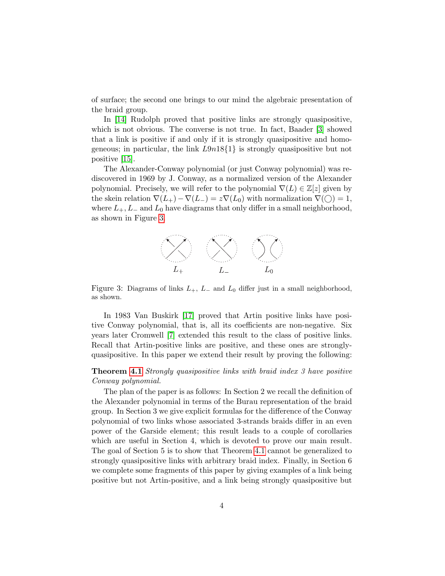of surface; the second one brings to our mind the algebraic presentation of the braid group.

In [\[14\]](#page-15-1) Rudolph proved that positive links are strongly quasipositive, which is not obvious. The converse is not true. In fact, Baader [\[3\]](#page-14-3) showed that a link is positive if and only if it is strongly quasipositive and homogeneous; in particular, the link  $L9n18\{1\}$  is strongly quasipositive but not positive [\[15\]](#page-15-2).

The Alexander-Conway polynomial (or just Conway polynomial) was rediscovered in 1969 by J. Conway, as a normalized version of the Alexander polynomial. Precisely, we will refer to the polynomial  $\nabla(L) \in \mathbb{Z}[z]$  given by the skein relation  $\nabla(L_{+}) - \nabla(L_{-}) = z \nabla(L_{0})$  with normalization  $\nabla(\bigcirc) = 1$ , where  $L_+$ ,  $L_-$  and  $L_0$  have diagrams that only differ in a small neighborhood, as shown in Figure [3.](#page-3-0)



<span id="page-3-0"></span>Figure 3: Diagrams of links  $L_+$ ,  $L_-$  and  $L_0$  differ just in a small neighborhood, as shown.

In 1983 Van Buskirk [\[17\]](#page-15-3) proved that Artin positive links have positive Conway polynomial, that is, all its coefficients are non-negative. Six years later Cromwell [\[7\]](#page-14-4) extended this result to the class of positive links. Recall that Artin-positive links are positive, and these ones are stronglyquasipositive. In this paper we extend their result by proving the following:

#### Theorem [4.1](#page-9-0) Strongly quasipositive links with braid index 3 have positive Conway polynomial.

The plan of the paper is as follows: In Section 2 we recall the definition of the Alexander polynomial in terms of the Burau representation of the braid group. In Section 3 we give explicit formulas for the difference of the Conway polynomial of two links whose associated 3-strands braids differ in an even power of the Garside element; this result leads to a couple of corollaries which are useful in Section 4, which is devoted to prove our main result. The goal of Section 5 is to show that Theorem [4.1](#page-9-0) cannot be generalized to strongly quasipositive links with arbitrary braid index. Finally, in Section 6 we complete some fragments of this paper by giving examples of a link being positive but not Artin-positive, and a link being strongly quasipositive but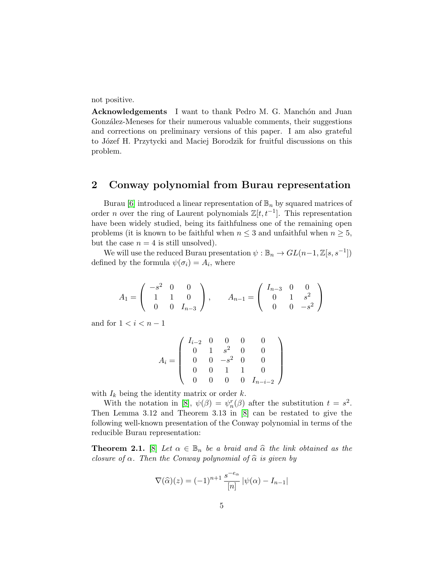not positive.

Acknowledgements I want to thank Pedro M. G. Manchón and Juan González-Meneses for their numerous valuable comments, their suggestions and corrections on preliminary versions of this paper. I am also grateful to Józef H. Przytycki and Maciej Borodzik for fruitful discussions on this problem.

### 2 Conway polynomial from Burau representation

Burau [\[6\]](#page-14-5) introduced a linear representation of  $\mathbb{B}_n$  by squared matrices of order *n* over the ring of Laurent polynomials  $\mathbb{Z}[t, t^{-1}]$ . This representation have been widely studied, being its faithfulness one of the remaining open problems (it is known to be faithful when  $n \leq 3$  and unfaithful when  $n \geq 5$ , but the case  $n = 4$  is still unsolved).

We will use the reduced Burau presentation  $\psi : \mathbb{B}_n \to GL(n-1, \mathbb{Z}[s, s^{-1}])$ defined by the formula  $\psi(\sigma_i) = A_i$ , where

$$
A_1 = \begin{pmatrix} -s^2 & 0 & 0 \\ 1 & 1 & 0 \\ 0 & 0 & I_{n-3} \end{pmatrix}, \qquad A_{n-1} = \begin{pmatrix} I_{n-3} & 0 & 0 \\ 0 & 1 & s^2 \\ 0 & 0 & -s^2 \end{pmatrix}
$$

and for  $1 < i < n - 1$ 

$$
A_i = \left(\begin{array}{cccc} I_{i-2} & 0 & 0 & 0 & 0 \\ 0 & 1 & s^2 & 0 & 0 \\ 0 & 0 & -s^2 & 0 & 0 \\ 0 & 0 & 1 & 1 & 0 \\ 0 & 0 & 0 & 0 & I_{n-i-2} \end{array}\right)
$$

with  $I_k$  being the identity matrix or order  $k$ .

With the notation in [\[8\]](#page-14-6),  $\psi(\beta) = \psi_n^r(\beta)$  after the substitution  $t = s^2$ . Then Lemma 3.12 and Theorem 3.13 in [\[8\]](#page-14-6) can be restated to give the following well-known presentation of the Conway polynomial in terms of the reducible Burau representation:

<span id="page-4-0"></span>**Theorem 2.1.** [\[8\]](#page-14-6) Let  $\alpha \in \mathbb{B}_n$  be a braid and  $\widehat{\alpha}$  the link obtained as the closure of  $\alpha$ . Then the Conway polynomial of  $\hat{\alpha}$  is given by

$$
\nabla(\widehat{\alpha})(z) = (-1)^{n+1} \frac{s^{-e_{\alpha}}}{[n]} |\psi(\alpha) - I_{n-1}|
$$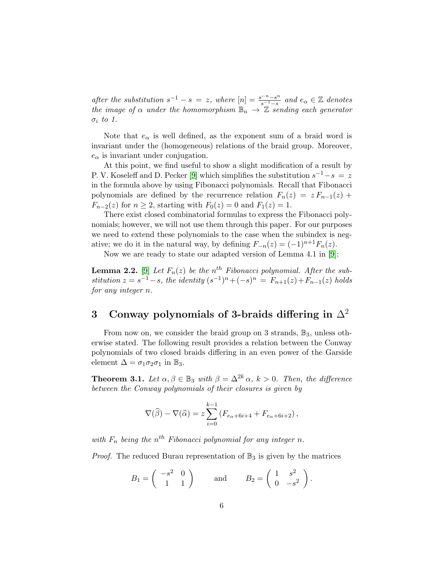after the substitution  $s^{-1} - s = z$ , where  $[n] = \frac{s^{-n} - s^n}{s^{-1} - s}$  $\frac{e^{-n}-s^n}{s^{-1}-s}$  and  $e_\alpha \in \mathbb{Z}$  denotes the image of  $\alpha$  under the homomorphism  $\mathbb{B}_n \to \mathbb{Z}$  sending each generator  $\sigma_i$  to 1.

Note that  $e_{\alpha}$  is well defined, as the exponent sum of a braid word is invariant under the (homogeneous) relations of the braid group. Moreover,  $e_{\alpha}$  is invariant under conjugation.

At this point, we find useful to show a slight modification of a result by P. V. Koseleff and D. Pecker [\[9\]](#page-14-7) which simplifies the substitution  $s^{-1} - s = z$ in the formula above by using Fibonacci polynomials. Recall that Fibonacci polynomials are defined by the recurrence relation  $F_n(z) = z F_{n-1}(z) + z F_n(z)$  $F_{n-2}(z)$  for  $n \geq 2$ , starting with  $F_0(z) = 0$  and  $F_1(z) = 1$ .

There exist closed combinatorial formulas to express the Fibonacci polynomials; however, we will not use them through this paper. For our purposes we need to extend these polynomials to the case when the subindex is negative; we do it in the natural way, by defining  $F_{-n}(z) = (-1)^{n+1} F_n(z)$ .

Now we are ready to state our adapted version of Lemma 4.1 in [\[9\]](#page-14-7):

<span id="page-5-0"></span>**Lemma 2.2.** [\[9\]](#page-14-7) Let  $F_n(z)$  be the n<sup>th</sup> Fibonacci polynomial. After the substitution  $z = s^{-1} - s$ , the identity  $(s^{-1})^n + (-s)^n = F_{n+1}(z) + F_{n-1}(z)$  holds for any integer n.

## 3 Conway polynomials of 3-braids differing in  $\Delta^2$

From now on, we consider the braid group on 3 strands,  $\mathbb{B}_3$ , unless otherwise stated. The following result provides a relation between the Conway polynomials of two closed braids differing in an even power of the Garside element  $\Delta = \sigma_1 \sigma_2 \sigma_1$  in  $\mathbb{B}_3$ .

<span id="page-5-1"></span>**Theorem 3.1.** Let  $\alpha, \beta \in \mathbb{B}_3$  with  $\beta = \Delta^{2k} \alpha$ ,  $k > 0$ . Then, the difference between the Conway polynomials of their closures is given by

$$
\nabla(\widehat{\beta}) - \nabla(\widehat{\alpha}) = z \sum_{i=0}^{k-1} \left( F_{e_{\alpha} + 6i + 4} + F_{e_{\alpha} + 6i + 2} \right),
$$

with  $F_n$  being the  $n^{th}$  Fibonacci polynomial for any integer n.

*Proof.* The reduced Burau representation of  $\mathbb{B}_3$  is given by the matrices

$$
B_1 = \begin{pmatrix} -s^2 & 0 \\ 1 & 1 \end{pmatrix} \quad \text{and} \quad B_2 = \begin{pmatrix} 1 & s^2 \\ 0 & -s^2 \end{pmatrix}.
$$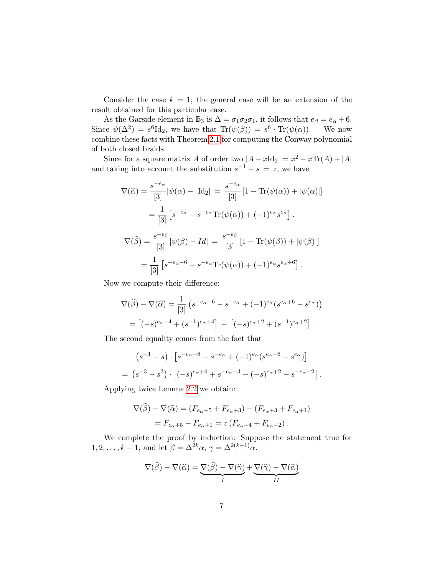Consider the case  $k = 1$ ; the general case will be an extension of the result obtained for this particular case.

As the Garside element in  $\mathbb{B}_3$  is  $\Delta = \sigma_1 \sigma_2 \sigma_1$ , it follows that  $e_\beta = e_\alpha + 6$ . Since  $\psi(\Delta^2) = s^6 \mathrm{Id}_2$ , we have that  $\mathrm{Tr}(\psi(\beta)) = s^6 \cdot \mathrm{Tr}(\psi(\alpha))$ . We now combine these facts with Theorem [2](#page-4-0).1 for computing the Conway polynomial of both closed braids.

Since for a square matrix A of order two  $|A - x\text{Id}_2| = x^2 - x\text{Tr}(A) + |A|$ and taking into account the substitution  $s^{-1} - s = z$ , we have

$$
\nabla(\widehat{\alpha}) = \frac{s^{-e_{\alpha}}}{[3]} |\psi(\alpha) - \mathrm{Id}_{2}| = \frac{s^{-e_{\alpha}}}{[3]} [1 - \mathrm{Tr}(\psi(\alpha)) + |\psi(\alpha)|]
$$

$$
= \frac{1}{[3]} [s^{-e_{\alpha}} - s^{-e_{\alpha}} \mathrm{Tr}(\psi(\alpha)) + (-1)^{e_{\alpha}} s^{e_{\alpha}}].
$$

$$
\nabla(\widehat{\beta}) = \frac{s^{-e_{\beta}}}{[3]} |\psi(\beta) - Id| = \frac{s^{-e_{\beta}}}{[3]} [1 - \mathrm{Tr}(\psi(\beta)) + |\psi(\beta)|]
$$

$$
= \frac{1}{[3]} [s^{-e_{\alpha}-\beta} - s^{-e_{\alpha}} \mathrm{Tr}(\psi(\alpha)) + (-1)^{e_{\alpha}} s^{e_{\alpha}+\beta}].
$$

Now we compute their difference:

$$
\nabla(\widehat{\beta}) - \nabla(\widehat{\alpha}) = \frac{1}{[3]} \left( s^{-e_{\alpha} - 6} - s^{-e_{\alpha}} + (-1)^{e_{\alpha}} (s^{e_{\alpha} + 6} - s^{e_{\alpha}}) \right)
$$

$$
= \left[ (-s)^{e_{\alpha} + 4} + (s^{-1})^{e_{\alpha} + 4} \right] - \left[ (-s)^{e_{\alpha} + 2} + (s^{-1})^{e_{\alpha} + 2} \right].
$$

The second equality comes from the fact that

$$
(s^{-1} - s) \cdot [s^{-e_{\alpha} - 6} - s^{-e_{\alpha}} + (-1)^{e_{\alpha}} (s^{e_{\alpha} + 6} - s^{e_{\alpha}})]
$$
  
=  $(s^{-3} - s^{3}) \cdot [(-s)^{e_{\alpha} + 4} + s^{-e_{\alpha} - 4} - (-s)^{e_{\alpha} + 2} - s^{-e_{\alpha} - 2}].$ 

Applying twice Lemma [2.2](#page-5-0) we obtain:

$$
\nabla(\hat{\beta}) - \nabla(\hat{\alpha}) = (F_{e_{\alpha}+5} + F_{e_{\alpha}+3}) - (F_{e_{\alpha}+3} + F_{e_{\alpha}+1})
$$

$$
= F_{e_{\alpha}+5} - F_{e_{\alpha}+1} = z (F_{e_{\alpha}+4} + F_{e_{\alpha}+2}).
$$

We complete the proof by induction: Suppose the statement true for  $1, 2, \ldots, k-1$ , and let  $\beta = \Delta^{2k}\alpha$ ,  $\gamma = \Delta^{2(k-1)}\alpha$ .

$$
\nabla(\widehat{\beta}) - \nabla(\widehat{\alpha}) = \underbrace{\nabla(\widehat{\beta}) - \nabla(\widehat{\gamma})}_{I} + \underbrace{\nabla(\widehat{\gamma}) - \nabla(\widehat{\alpha})}_{II}
$$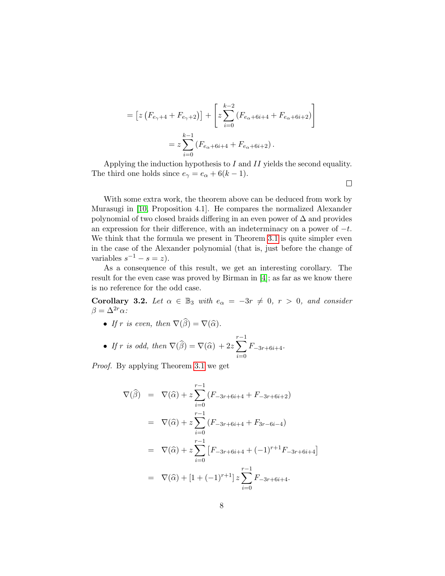$$
= [z (F_{e_{\gamma}+4} + F_{e_{\gamma}+2})] + \left[ z \sum_{i=0}^{k-2} (F_{e_{\alpha}+6i+4} + F_{e_{\alpha}+6i+2}) \right]
$$
  

$$
= z \sum_{i=0}^{k-1} (F_{e_{\alpha}+6i+4} + F_{e_{\alpha}+6i+2}).
$$

Applying the induction hypothesis to  $I$  and  $II$  yields the second equality. The third one holds since  $e_{\gamma} = e_{\alpha} + 6(k - 1)$ .

With some extra work, the theorem above can be deduced from work by Murasugi in [\[10,](#page-14-8) Proposition 4.1]. He compares the normalized Alexander polynomial of two closed braids differing in an even power of  $\Delta$  and provides an expression for their difference, with an indeterminacy on a power of  $-t$ . We think that the formula we present in Theorem [3.1](#page-5-1) is quite simpler even in the case of the Alexander polynomial (that is, just before the change of variables  $s^{-1} - s = z$ .

As a consequence of this result, we get an interesting corollary. The result for the even case was proved by Birman in [\[4\]](#page-14-9); as far as we know there is no reference for the odd case.

<span id="page-7-0"></span>Corollary 3.2. Let  $\alpha \in \mathbb{B}_3$  with  $e_{\alpha} = -3r \neq 0$ ,  $r > 0$ , and consider  $\beta = \Delta^{2r} \alpha$ :

• If r is even, then  $\nabla(\widehat{\beta}) = \nabla(\widehat{\alpha})$ .

• If r is odd, then 
$$
\nabla(\widehat{\beta}) = \nabla(\widehat{\alpha}) + 2z \sum_{i=0}^{r-1} F_{-3r+6i+4}.
$$

Proof. By applying Theorem [3.1](#page-5-1) we get

$$
\nabla(\widehat{\beta}) = \nabla(\widehat{\alpha}) + z \sum_{i=0}^{r-1} (F_{-3r+6i+4} + F_{-3r+6i+2})
$$
\n
$$
= \nabla(\widehat{\alpha}) + z \sum_{i=0}^{r-1} (F_{-3r+6i+4} + F_{3r-6i-4})
$$
\n
$$
= \nabla(\widehat{\alpha}) + z \sum_{i=0}^{r-1} [F_{-3r+6i+4} + (-1)^{r+1} F_{-3r+6i+4}]
$$
\n
$$
= \nabla(\widehat{\alpha}) + [1 + (-1)^{r+1}] z \sum_{i=0}^{r-1} F_{-3r+6i+4}.
$$

 $\Box$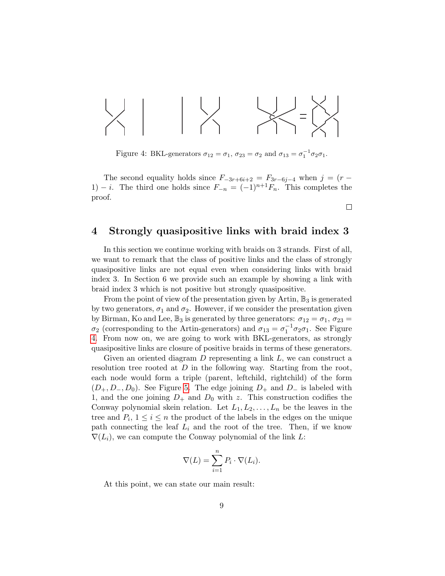$$
\times \left| \begin{array}{c} \text{ }\\ \text{ }\\ \text{ }\\ \text{ }\\ \end{array} \right| \times \left| \begin{array}{c} \text{ }\\ \text{ }\\ \text{ }\\ \text{ }\\ \text{ }\\ \end{array} \right| \times \left| \begin{array}{c} \text{ }\\ \text{ }\\ \text{ }\\ \text{ }\\ \text{ }\\ \end{array} \right|
$$

<span id="page-8-0"></span>Figure 4: BKL-generators  $\sigma_{12} = \sigma_1$ ,  $\sigma_{23} = \sigma_2$  and  $\sigma_{13} = \sigma_1^{-1} \sigma_2 \sigma_1$ .

The second equality holds since  $F_{-3r+6i+2} = F_{3r-6i-4}$  when  $j = (r -$ 1) − *i*. The third one holds since  $F_{-n} = (-1)^{n+1}F_n$ . This completes the proof.

 $\Box$ 

### 4 Strongly quasipositive links with braid index 3

In this section we continue working with braids on 3 strands. First of all, we want to remark that the class of positive links and the class of strongly quasipositive links are not equal even when considering links with braid index 3. In Section 6 we provide such an example by showing a link with braid index 3 which is not positive but strongly quasipositive.

From the point of view of the presentation given by Artin,  $\mathbb{B}_3$  is generated by two generators,  $\sigma_1$  and  $\sigma_2$ . However, if we consider the presentation given by Birman, Ko and Lee,  $\mathbb{B}_3$  is generated by three generators:  $\sigma_{12} = \sigma_1$ ,  $\sigma_{23} =$  $\sigma_2$  (corresponding to the Artin-generators) and  $\sigma_{13} = \sigma_1^{-1} \sigma_2 \sigma_1$ . See Figure [4.](#page-8-0) From now on, we are going to work with BKL-generators, as strongly quasipositive links are closure of positive braids in terms of these generators.

Given an oriented diagram  $D$  representing a link  $L$ , we can construct a resolution tree rooted at  $D$  in the following way. Starting from the root, each node would form a triple (parent, leftchild, rightchild) of the form  $(D_+, D_-, D_0)$ . See Figure [5.](#page-9-1) The edge joining  $D_+$  and  $D_-$  is labeled with 1, and the one joining  $D_+$  and  $D_0$  with z. This construction codifies the Conway polynomial skein relation. Let  $L_1, L_2, \ldots, L_n$  be the leaves in the tree and  $P_i$ ,  $1 \leq i \leq n$  the product of the labels in the edges on the unique path connecting the leaf  $L_i$  and the root of the tree. Then, if we know  $\nabla(L_i)$ , we can compute the Conway polynomial of the link L:

$$
\nabla(L) = \sum_{i=1}^{n} P_i \cdot \nabla(L_i).
$$

At this point, we can state our main result: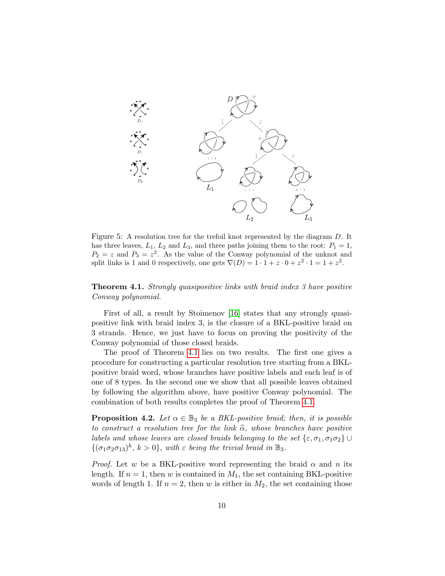

<span id="page-9-1"></span>Figure 5: A resolution tree for the trefoil knot represented by the diagram D. It has three leaves,  $L_1$ ,  $L_2$  and  $L_3$ , and three paths joining them to the root:  $P_1 = 1$ ,  $P_2 = z$  and  $P_3 = z^2$ . As the value of the Conway polynomial of the unknot and split links is 1 and 0 respectively, one gets  $\nabla(D) = 1 \cdot 1 + z \cdot 0 + z^2 \cdot 1 = 1 + z^2$ .

<span id="page-9-0"></span>**Theorem 4.1.** Strongly quasipositive links with braid index 3 have positive Conway polynomial.

First of all, a result by Stoimenov [\[16\]](#page-15-4) states that any strongly quasipositive link with braid index 3, is the closure of a BKL-positive braid on 3 strands. Hence, we just have to focus on proving the positivity of the Conway polynomial of those closed braids.

The proof of Theorem [4.1](#page-9-0) lies on two results. The first one gives a procedure for constructing a particular resolution tree starting from a BKLpositive braid word, whose branches have positive labels and each leaf is of one of 8 types. In the second one we show that all possible leaves obtained by following the algorithm above, have positive Conway polynomial. The combination of both results completes the proof of Theorem [4.1.](#page-9-0)

<span id="page-9-2"></span>**Proposition 4.2.** Let  $\alpha \in \mathbb{B}_3$  be a BKL-positive braid; then, it is possible to construct a resolution tree for the link  $\hat{\alpha}$ , whose branches have positive labels and whose leaves are closed braids belonging to the set  $\{\varepsilon,\sigma_1,\sigma_1\sigma_2\}\cup$  $\{(\sigma_1 \sigma_2 \sigma_{13})^k, k > 0\}, \text{ with } \varepsilon \text{ being the trivial braid in } \mathbb{B}_3.$ 

*Proof.* Let w be a BKL-positive word representing the braid  $\alpha$  and n its length. If  $n = 1$ , then w is contained in  $M_1$ , the set containing BKL-positive words of length 1. If  $n = 2$ , then w is either in  $M_2$ , the set containing those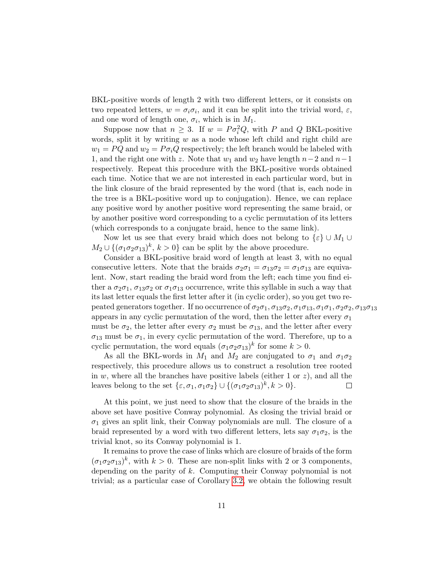BKL-positive words of length 2 with two different letters, or it consists on two repeated letters,  $w = \sigma_i \sigma_i$ , and it can be split into the trivial word,  $\varepsilon$ , and one word of length one,  $\sigma_i$ , which is in  $M_1$ .

Suppose now that  $n \geq 3$ . If  $w = P \sigma_i^2 Q$ , with P and Q BKL-positive words, split it by writing  $w$  as a node whose left child and right child are  $w_1 = PQ$  and  $w_2 = Po_iQ$  respectively; the left branch would be labeled with 1, and the right one with z. Note that  $w_1$  and  $w_2$  have length  $n-2$  and  $n-1$ respectively. Repeat this procedure with the BKL-positive words obtained each time. Notice that we are not interested in each particular word, but in the link closure of the braid represented by the word (that is, each node in the tree is a BKL-positive word up to conjugation). Hence, we can replace any positive word by another positive word representing the same braid, or by another positive word corresponding to a cyclic permutation of its letters (which corresponds to a conjugate braid, hence to the same link).

Now let us see that every braid which does not belong to  $\{\varepsilon\} \cup M_1 \cup$  $M_2 \cup \{(\sigma_1 \sigma_2 \sigma_{13})^k, k > 0\}$  can be split by the above procedure.

Consider a BKL-positive braid word of length at least 3, with no equal consecutive letters. Note that the braids  $\sigma_2 \sigma_1 = \sigma_{13} \sigma_2 = \sigma_1 \sigma_{13}$  are equivalent. Now, start reading the braid word from the left; each time you find either a  $\sigma_2\sigma_1$ ,  $\sigma_{13}\sigma_2$  or  $\sigma_1\sigma_{13}$  occurrence, write this syllable in such a way that its last letter equals the first letter after it (in cyclic order), so you get two repeated generators together. If no occurrence of  $\sigma_2\sigma_1$ ,  $\sigma_{13}\sigma_2$ ,  $\sigma_1\sigma_{13}$ ,  $\sigma_1\sigma_1$ ,  $\sigma_2\sigma_2$ ,  $\sigma_{13}\sigma_{13}$ appears in any cyclic permutation of the word, then the letter after every  $\sigma_1$ must be  $\sigma_2$ , the letter after every  $\sigma_2$  must be  $\sigma_{13}$ , and the letter after every  $\sigma_{13}$  must be  $\sigma_1$ , in every cyclic permutation of the word. Therefore, up to a cyclic permutation, the word equals  $(\sigma_1 \sigma_2 \sigma_{13})^k$  for some  $k > 0$ .

As all the BKL-words in  $M_1$  and  $M_2$  are conjugated to  $\sigma_1$  and  $\sigma_1\sigma_2$ respectively, this procedure allows us to construct a resolution tree rooted in  $w$ , where all the branches have positive labels (either 1 or  $z$ ), and all the leaves belong to the set  $\{\varepsilon,\sigma_1,\sigma_1\sigma_2\} \cup \{(\sigma_1\sigma_2\sigma_{13})^k, k>0\}.$  $\Box$ 

At this point, we just need to show that the closure of the braids in the above set have positive Conway polynomial. As closing the trivial braid or  $\sigma_1$  gives an split link, their Conway polynomials are null. The closure of a braid represented by a word with two different letters, lets say  $\sigma_1 \sigma_2$ , is the trivial knot, so its Conway polynomial is 1.

It remains to prove the case of links which are closure of braids of the form  $(\sigma_1 \sigma_2 \sigma_{13})^k$ , with  $k > 0$ . These are non-split links with 2 or 3 components, depending on the parity of k. Computing their Conway polynomial is not trivial; as a particular case of Corollary [3.2,](#page-7-0) we obtain the following result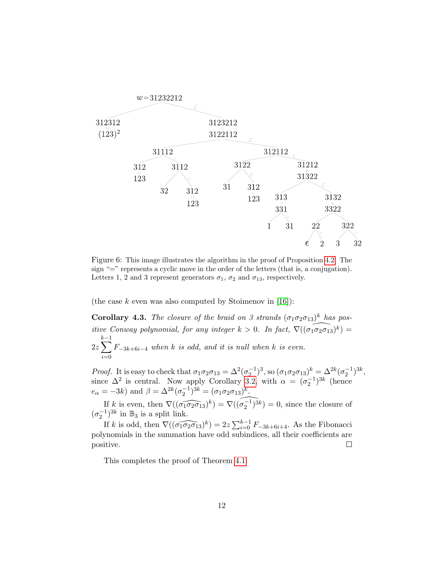

Figure 6: This image illustrates the algorithm in the proof of Proposition [4.2.](#page-9-2) The sign "=" represents a cyclic move in the order of the letters (that is, a conjugation). Letters 1, 2 and 3 represent generators  $\sigma_1$ ,  $\sigma_2$  and  $\sigma_{13}$ , respectively.

(the case k even was also computed by Stoimenov in [\[16\]](#page-15-4)):

<span id="page-11-0"></span>**Corollary 4.3.** The closure of the braid on 3 strands  $(\sigma_1 \sigma_2 \sigma_{13})^k$  has positive Conway polynomial, for any integer  $k > 0$ . In fact,  $\nabla((\widehat{\sigma_1 \sigma_2 \sigma_13})^k) =$  $2z\sum$  $k-1$  $i=0$  $F_{-3k+6i-4}$  when k is odd, and it is null when k is even.

Proof. It is easy to check that  $\sigma_1 \sigma_2 \sigma_{13} = \Delta^2 (\sigma_2^{-1})^3$ , so  $(\sigma_1 \sigma_2 \sigma_{13})^k = \Delta^{2k} (\sigma_2^{-1})^{3k}$ , since  $\Delta^2$  is central. Now apply Corollary [3.2,](#page-7-0) with  $\alpha = (\sigma_2^{-1})^{3k}$  (hence  $e_{\alpha} = -3k$ ) and  $\beta = \Delta^{2k} (\sigma_2^{-1})^{3k} = (\sigma_1 \sigma_2 \sigma_{13})^k$ .

If k is even, then  $\nabla((\widehat{\sigma_1 \sigma_2 \sigma_1 3})^k) = \nabla((\widehat{\sigma_2^{-1})^{3k}}) = 0$ , since the closure of  $(\sigma_2^{-1})^{3k}$  in  $\mathbb{B}_3$  is a split link.

If k is odd, then  $\nabla((\widehat{\sigma_1 \sigma_2 \sigma_1}_3)^k) = 2z \sum_{i=0}^{k-1} F_{-3k+6i+4}$ . As the Fibonacci polynomials in the summation have odd subindices, all their coefficients are positive.  $\Box$ 

This completes the proof of Theorem [4.1.](#page-9-0)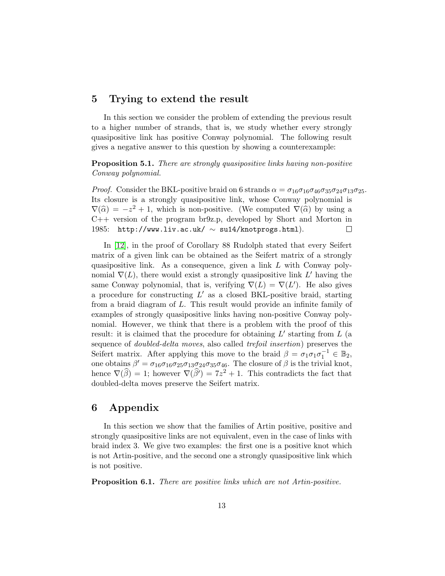### 5 Trying to extend the result

In this section we consider the problem of extending the previous result to a higher number of strands, that is, we study whether every strongly quasipositive link has positive Conway polynomial. The following result gives a negative answer to this question by showing a counterexample:

Proposition 5.1. There are strongly quasipositive links having non-positive Conway polynomial.

*Proof.* Consider the BKL-positive braid on 6 strands  $\alpha = \sigma_{16}\sigma_{16}\sigma_{46}\sigma_{35}\sigma_{24}\sigma_{13}\sigma_{25}$ . Its closure is a strongly quasipositive link, whose Conway polynomial is  $\nabla(\hat{\alpha}) = -z^2 + 1$ , which is non-positive. (We computed  $\nabla(\hat{\alpha})$  by using a  $C + 1$  version of the program br0z p, developed by Short and Morton in C++ version of the program br9z.p, developed by Short and Morton in 1985: http://www.liv.ac.uk/  $\sim$  su14/knotprogs.html).  $\Box$ 

In [\[12\]](#page-15-5), in the proof of Corollary 88 Rudolph stated that every Seifert matrix of a given link can be obtained as the Seifert matrix of a strongly quasipositive link. As a consequence, given a link  $L$  with Conway polynomial  $\nabla(L)$ , there would exist a strongly quasipositive link L' having the same Conway polynomial, that is, verifying  $\nabla(L) = \nabla(L')$ . He also gives a procedure for constructing  $L'$  as a closed BKL-positive braid, starting from a braid diagram of L. This result would provide an infinite family of examples of strongly quasipositive links having non-positive Conway polynomial. However, we think that there is a problem with the proof of this result: it is claimed that the procedure for obtaining  $L'$  starting from  $L$  (a sequence of doubled-delta moves, also called trefoil insertion) preserves the Seifert matrix. After applying this move to the braid  $\beta = \sigma_1 \sigma_1 \sigma_1^{-1} \in \mathbb{B}_2$ , one obtains  $\beta' = \sigma_{16}\sigma_{16}\sigma_{25}\sigma_{13}\sigma_{24}\sigma_{35}\sigma_{46}$ . The closure of  $\beta$  is the trivial knot, hence  $\nabla(\widehat{\beta}) = 1$ ; however  $\nabla(\widehat{\beta}) = 7z^2 + 1$ . This contradicts the fact that doubled-delta moves preserve the Seifert matrix.

### 6 Appendix

In this section we show that the families of Artin positive, positive and strongly quasipositive links are not equivalent, even in the case of links with braid index 3. We give two examples: the first one is a positive knot which is not Artin-positive, and the second one a strongly quasipositive link which is not positive.

Proposition 6.1. There are positive links which are not Artin-positive.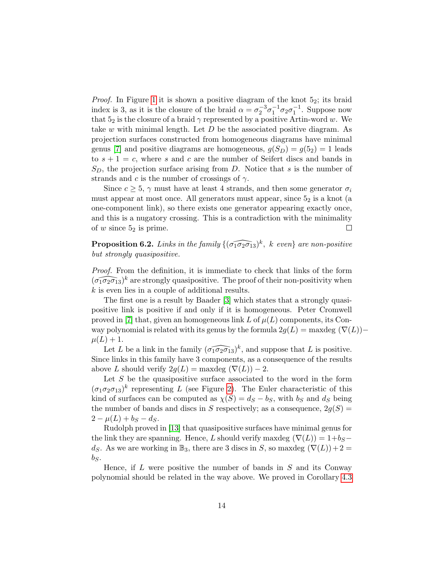*Proof.* In Figure [1](#page-1-0) it is shown a positive diagram of the knot  $5<sub>2</sub>$ ; its braid index is 3, as it is the closure of the braid  $\alpha = \sigma_2^{-3} \sigma_1^{-1} \sigma_2 \sigma_1^{-1}$ . Suppose now that  $5_2$  is the closure of a braid  $\gamma$  represented by a positive Artin-word w. We take w with minimal length. Let  $D$  be the associated positive diagram. As projection surfaces constructed from homogeneous diagrams have minimal genus [\[7\]](#page-14-4) and positive diagrams are homogeneous,  $g(S_D) = g(5_2) = 1$  leads to  $s + 1 = c$ , where s and c are the number of Seifert discs and bands in  $S_D$ , the projection surface arising from D. Notice that s is the number of strands and c is the number of crossings of  $\gamma$ .

Since  $c \geq 5$ ,  $\gamma$  must have at least 4 strands, and then some generator  $\sigma_i$ must appear at most once. All generators must appear, since  $5<sub>2</sub>$  is a knot (a one-component link), so there exists one generator appearing exactly once, and this is a nugatory crossing. This is a contradiction with the minimality of  $w$  since  $5<sub>2</sub>$  is prime.  $\Box$ 

**Proposition 6.2.** Links in the family  $\{(\widehat{\sigma_1 \sigma_2 \sigma_1 3})^k, k \text{ even}\}\$ are non-positive but strongly quasipositive.

*Proof.* From the definition, it is immediate to check that links of the form  $(\widehat{\sigma_1 \sigma_2 \sigma_{13}})^k$  are strongly quasipositive. The proof of their non-positivity when k is even lies in a couple of additional results.

The first one is a result by Baader [\[3\]](#page-14-3) which states that a strongly quasipositive link is positive if and only if it is homogeneous. Peter Cromwell proved in [\[7\]](#page-14-4) that, given an homogeneous link L of  $\mu(L)$  components, its Conway polynomial is related with its genus by the formula  $2g(L) = \text{maxdeg }(\nabla(L))$  $\mu(L) + 1.$ 

Let L be a link in the family  $(\widehat{\sigma_1 \sigma_2 \sigma_{13}})^k$ , and suppose that L is positive. Since links in this family have 3 components, as a consequence of the results above L should verify  $2g(L) = \text{maxdeg }(\nabla(L)) - 2$ .

Let S be the quasipositive surface associated to the word in the form  $(\sigma_1 \sigma_2 \sigma_{13})^k$  representing L (see Figure [2\)](#page-2-0). The Euler characteristic of this kind of surfaces can be computed as  $\chi(S) = d_S - b_S$ , with  $b_S$  and  $d_S$  being the number of bands and discs in S respectively; as a consequence,  $2g(S)$  =  $2 - \mu(L) + b_S - d_S$ .

Rudolph proved in [\[13\]](#page-15-6) that quasipositive surfaces have minimal genus for the link they are spanning. Hence, L should verify maxdeg  $(\nabla(L)) = 1+b_S$ ds. As we are working in  $\mathbb{B}_3$ , there are 3 discs in S, so maxdeg  $(\nabla(L)) + 2 =$  $b_S$ .

Hence, if  $L$  were positive the number of bands in  $S$  and its Conway polynomial should be related in the way above. We proved in Corollary [4.3](#page-11-0)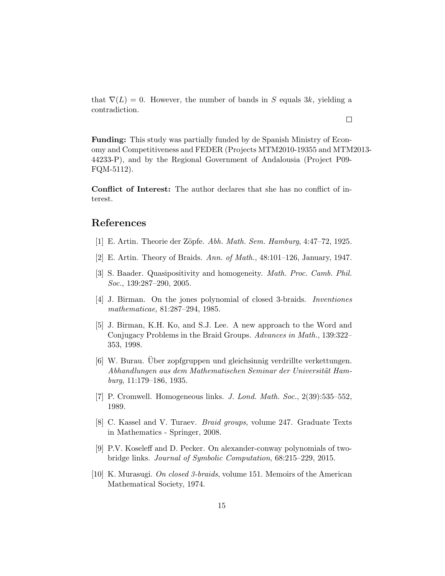that  $\nabla(L) = 0$ . However, the number of bands in S equals 3k, yielding a contradiction.

 $\Box$ 

Funding: This study was partially funded by de Spanish Ministry of Economy and Competitiveness and FEDER (Projects MTM2010-19355 and MTM2013- 44233-P), and by the Regional Government of Andalousia (Project P09- FQM-5112).

Conflict of Interest: The author declares that she has no conflict of interest.

### References

- <span id="page-14-0"></span>[1] E. Artin. Theorie der Zöpfe. Abh. Math. Sem. Hamburg, 4:47–72, 1925.
- <span id="page-14-1"></span>[2] E. Artin. Theory of Braids. Ann. of Math., 48:101–126, January, 1947.
- <span id="page-14-3"></span>[3] S. Baader. Quasipositivity and homogeneity. Math. Proc. Camb. Phil. Soc., 139:287–290, 2005.
- <span id="page-14-9"></span>[4] J. Birman. On the jones polynomial of closed 3-braids. Inventiones mathematicae, 81:287–294, 1985.
- <span id="page-14-2"></span>[5] J. Birman, K.H. Ko, and S.J. Lee. A new approach to the Word and Conjugacy Problems in the Braid Groups. Advances in Math., 139:322– 353, 1998.
- <span id="page-14-5"></span>[6] W. Burau. Uber zopfgruppen und gleichsinnig verdrillte verkettungen. ¨ Abhandlungen aus dem Mathematischen Seminar der Universität Hamburg, 11:179–186, 1935.
- <span id="page-14-4"></span>[7] P. Cromwell. Homogeneous links. J. Lond. Math. Soc., 2(39):535–552, 1989.
- <span id="page-14-6"></span>[8] C. Kassel and V. Turaev. Braid groups, volume 247. Graduate Texts in Mathematics - Springer, 2008.
- <span id="page-14-7"></span>[9] P.V. Koseleff and D. Pecker. On alexander-conway polynomials of twobridge links. Journal of Symbolic Computation, 68:215–229, 2015.
- <span id="page-14-8"></span>[10] K. Murasugi. On closed 3-braids, volume 151. Memoirs of the American Mathematical Society, 1974.